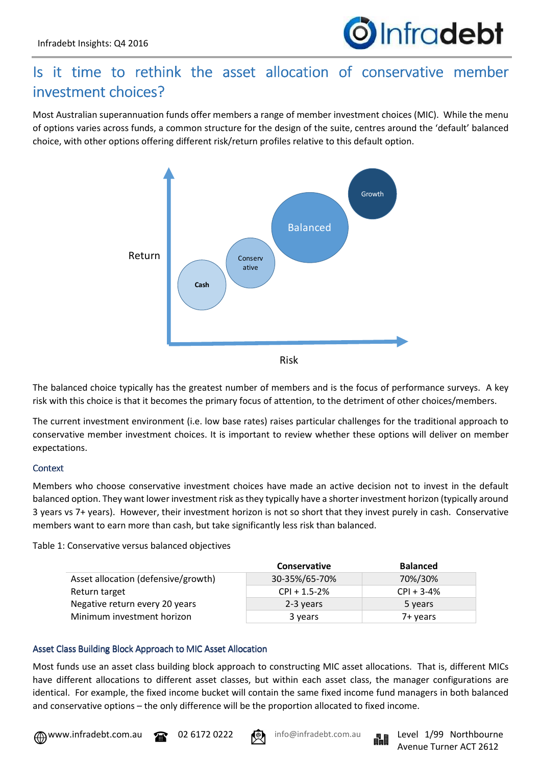

# Is it time to rethink the asset allocation of conservative member investment choices?

Most Australian superannuation funds offer members a range of member investment choices (MIC). While the menu of options varies across funds, a common structure for the design of the suite, centres around the 'default' balanced choice, with other options offering different risk/return profiles relative to this default option.



The balanced choice typically has the greatest number of members and is the focus of performance surveys. A key risk with this choice is that it becomes the primary focus of attention, to the detriment of other choices/members.

The current investment environment (i.e. low base rates) raises particular challenges for the traditional approach to conservative member investment choices. It is important to review whether these options will deliver on member expectations.

# **Context**

Members who choose conservative investment choices have made an active decision not to invest in the default balanced option. They want lower investment risk as they typically have a shorter investment horizon (typically around 3 years vs 7+ years). However, their investment horizon is not so short that they invest purely in cash. Conservative members want to earn more than cash, but take significantly less risk than balanced.

Table 1: Conservative versus balanced objectives

|                                     | <b>Conservative</b> | <b>Balanced</b> |
|-------------------------------------|---------------------|-----------------|
| Asset allocation (defensive/growth) | 30-35%/65-70%       | 70%/30%         |
| Return target                       | $CPI + 1.5-2%$      | $CPI + 3-4%$    |
| Negative return every 20 years      | 2-3 years           | 5 years         |
| Minimum investment horizon          | 3 years             | 7+ vears        |

# Asset Class Building Block Approach to MIC Asset Allocation

Most funds use an asset class building block approach to constructing MIC asset allocations. That is, different MICs have different allocations to different asset classes, but within each asset class, the manager configurations are identical. For example, the fixed income bucket will contain the same fixed income fund managers in both balanced and conservative options – the only difference will be the proportion allocated to fixed income.



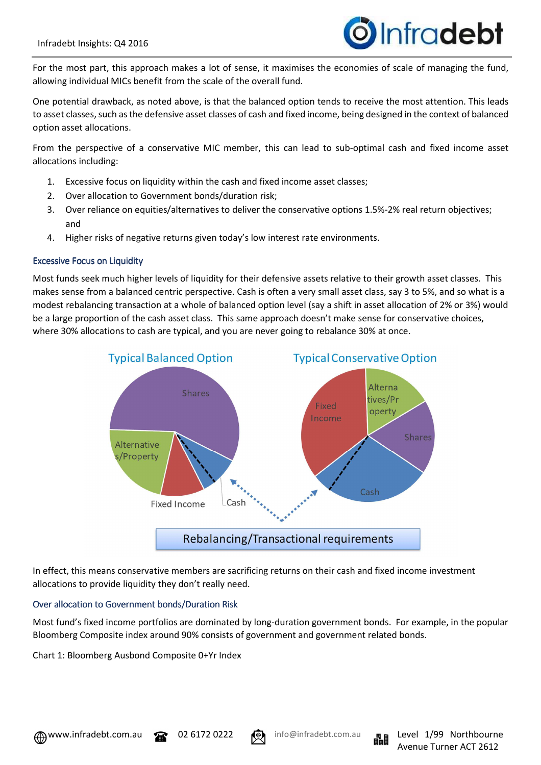

For the most part, this approach makes a lot of sense, it maximises the economies of scale of managing the fund, allowing individual MICs benefit from the scale of the overall fund.

One potential drawback, as noted above, is that the balanced option tends to receive the most attention. This leads to asset classes, such as the defensive asset classes of cash and fixed income, being designed in the context of balanced option asset allocations.

From the perspective of a conservative MIC member, this can lead to sub-optimal cash and fixed income asset allocations including:

- 1. Excessive focus on liquidity within the cash and fixed income asset classes;
- 2. Over allocation to Government bonds/duration risk;
- 3. Over reliance on equities/alternatives to deliver the conservative options 1.5%-2% real return objectives; and
- 4. Higher risks of negative returns given today's low interest rate environments.

#### **Excessive Focus on Liquidity**

Most funds seek much higher levels of liquidity for their defensive assets relative to their growth asset classes. This makes sense from a balanced centric perspective. Cash is often a very small asset class, say 3 to 5%, and so what is a modest rebalancing transaction at a whole of balanced option level (say a shift in asset allocation of 2% or 3%) would be a large proportion of the cash asset class. This same approach doesn't make sense for conservative choices, where 30% allocations to cash are typical, and you are never going to rebalance 30% at once.



In effect, this means conservative members are sacrificing returns on their cash and fixed income investment allocations to provide liquidity they don't really need.

#### Over allocation to Government bonds/Duration Risk

Most fund's fixed income portfolios are dominated by long-duration government bonds. For example, in the popular Bloomberg Composite index around 90% consists of government and government related bonds.

Chart 1: Bloomberg Ausbond Composite 0+Yr Index



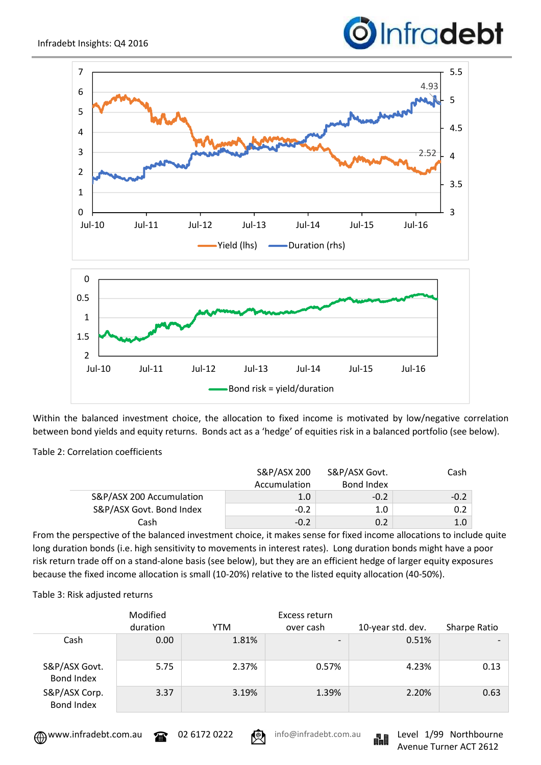# Infradebt



Within the balanced investment choice, the allocation to fixed income is motivated by low/negative correlation between bond yields and equity returns. Bonds act as a 'hedge' of equities risk in a balanced portfolio (see below).

Table 2: Correlation coefficients

|                          | S&P/ASX 200  | S&P/ASX Govt. | Cash   |
|--------------------------|--------------|---------------|--------|
|                          | Accumulation | Bond Index    |        |
| S&P/ASX 200 Accumulation | 1.0          | $-0.2$        | $-0.2$ |
| S&P/ASX Govt. Bond Index | $-0.2$       | 1.0           | 0.2    |
| Cash                     | $-0.2$       | 0.2           | 1.0    |

From the perspective of the balanced investment choice, it makes sense for fixed income allocations to include quite long duration bonds (i.e. high sensitivity to movements in interest rates). Long duration bonds might have a poor risk return trade off on a stand-alone basis (see below), but they are an efficient hedge of larger equity exposures because the fixed income allocation is small (10-20%) relative to the listed equity allocation (40-50%).

Table 3: Risk adjusted returns

|                                    | Modified<br>duration | YTM   | Excess return<br>over cash   | 10-year std. dev. | Sharpe Ratio |
|------------------------------------|----------------------|-------|------------------------------|-------------------|--------------|
| Cash                               | 0.00                 | 1.81% | $\qquad \qquad \blacksquare$ | 0.51%             |              |
| S&P/ASX Govt.<br><b>Bond Index</b> | 5.75                 | 2.37% | 0.57%                        | 4.23%             | 0.13         |
| S&P/ASX Corp.<br><b>Bond Index</b> | 3.37                 | 3.19% | 1.39%                        | 2.20%             | 0.63         |



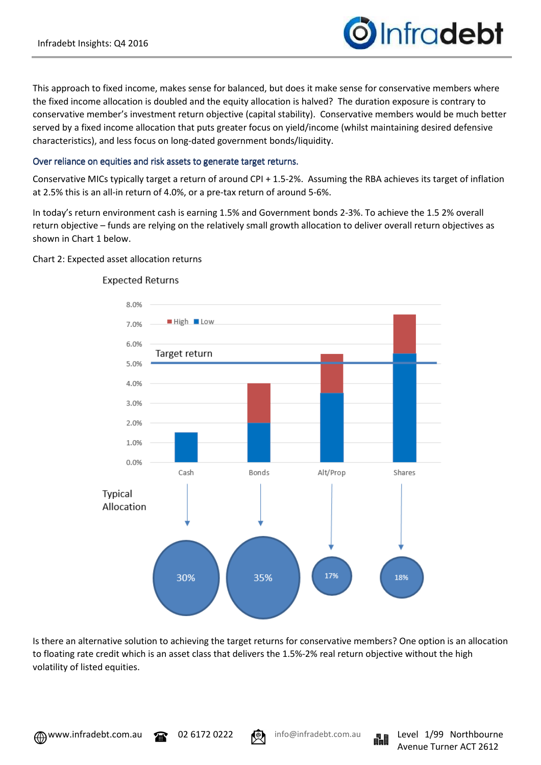

This approach to fixed income, makes sense for balanced, but does it make sense for conservative members where the fixed income allocation is doubled and the equity allocation is halved? The duration exposure is contrary to conservative member's investment return objective (capital stability). Conservative members would be much better served by a fixed income allocation that puts greater focus on yield/income (whilst maintaining desired defensive characteristics), and less focus on long-dated government bonds/liquidity.

# Over reliance on equities and risk assets to generate target returns.

Conservative MICs typically target a return of around CPI + 1.5-2%. Assuming the RBA achieves its target of inflation at 2.5% this is an all-in return of 4.0%, or a pre-tax return of around 5-6%.

In today's return environment cash is earning 1.5% and Government bonds 2-3%. To achieve the 1.5 2% overall return objective – funds are relying on the relatively small growth allocation to deliver overall return objectives as shown in Chart 1 below.

### Chart 2: Expected asset allocation returns



### **Expected Returns**

Is there an alternative solution to achieving the target returns for conservative members? One option is an allocation to floating rate credit which is an asset class that delivers the 1.5%-2% real return objective without the high volatility of listed equities.